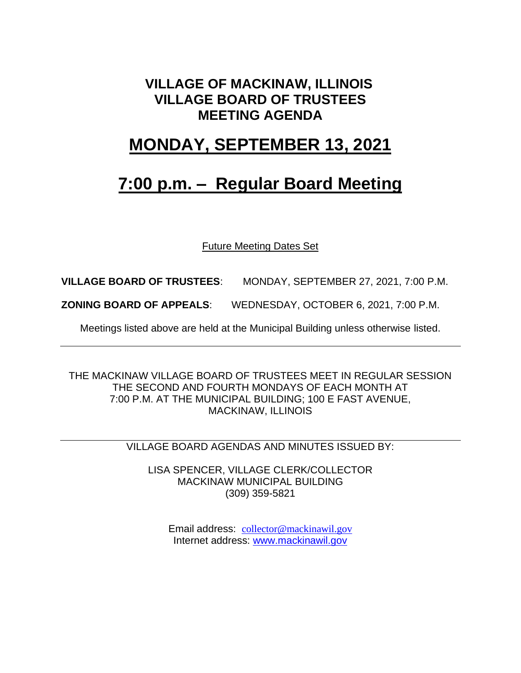### **VILLAGE OF MACKINAW, ILLINOIS VILLAGE BOARD OF TRUSTEES MEETING AGENDA**

### **MONDAY, SEPTEMBER 13, 2021**

## **7:00 p.m. – Regular Board Meeting**

Future Meeting Dates Set

**VILLAGE BOARD OF TRUSTEES**: MONDAY, SEPTEMBER 27, 2021, 7:00 P.M.

**ZONING BOARD OF APPEALS**: WEDNESDAY, OCTOBER 6, 2021, 7:00 P.M.

Meetings listed above are held at the Municipal Building unless otherwise listed.

THE MACKINAW VILLAGE BOARD OF TRUSTEES MEET IN REGULAR SESSION THE SECOND AND FOURTH MONDAYS OF EACH MONTH AT 7:00 P.M. AT THE MUNICIPAL BUILDING; 100 E FAST AVENUE, MACKINAW, ILLINOIS

VILLAGE BOARD AGENDAS AND MINUTES ISSUED BY:

LISA SPENCER, VILLAGE CLERK/COLLECTOR MACKINAW MUNICIPAL BUILDING (309) 359-5821

Email address: [collector@mackinawil.gov](mailto:collector@mackinawil.gov) Internet address: [www.mackinawil.gov](http://www.mackinawil.gov/)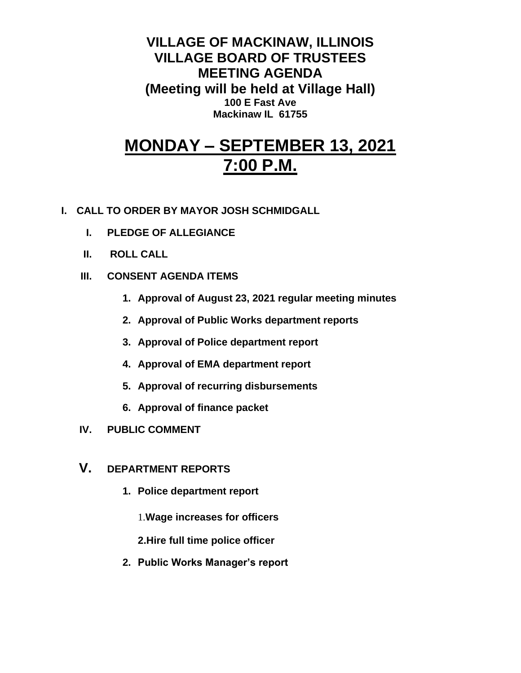**VILLAGE OF MACKINAW, ILLINOIS VILLAGE BOARD OF TRUSTEES MEETING AGENDA (Meeting will be held at Village Hall) 100 E Fast Ave Mackinaw IL 61755**

# **MONDAY – SEPTEMBER 13, 2021 7:00 P.M.**

- **I. CALL TO ORDER BY MAYOR JOSH SCHMIDGALL**
	- **I. PLEDGE OF ALLEGIANCE**
	- **II. ROLL CALL**
	- **III. CONSENT AGENDA ITEMS** 
		- **1. Approval of August 23, 2021 regular meeting minutes**
		- **2. Approval of Public Works department reports**
		- **3. Approval of Police department report**
		- **4. Approval of EMA department report**
		- **5. Approval of recurring disbursements**
		- **6. Approval of finance packet**
	- **IV. PUBLIC COMMENT**
	- **V. DEPARTMENT REPORTS** 
		- **1. Police department report**
			- 1.**Wage increases for officers**
			- **2.Hire full time police officer**
		- **2. Public Works Manager's report**